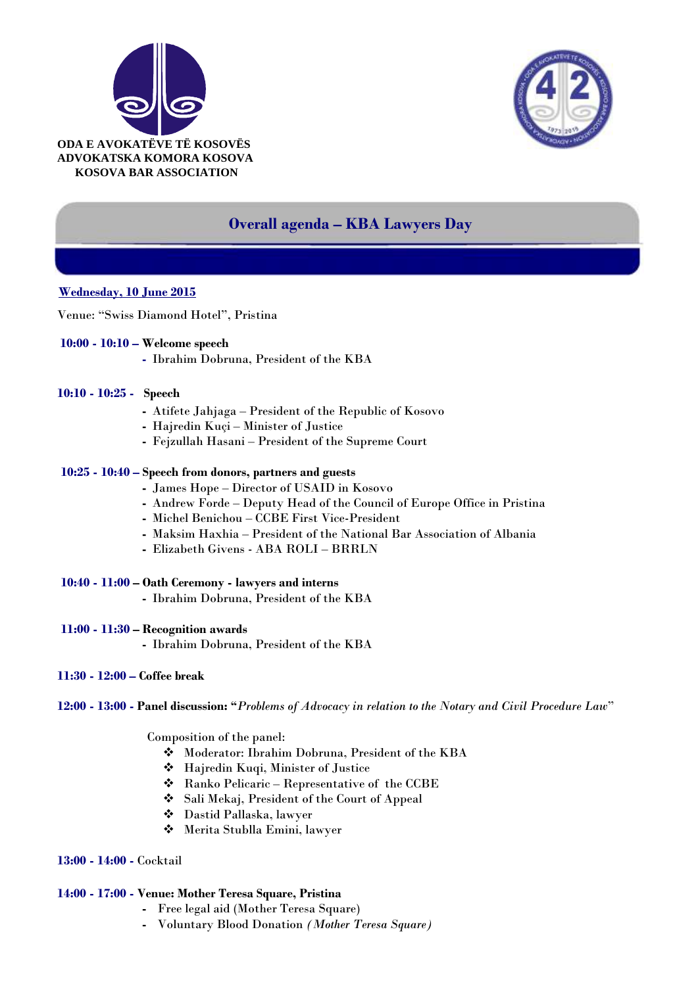



# **Overall agenda – KBA Lawyers Day**

## **Wednesday, 10 June 2015**

Venue: "Swiss Diamond Hotel", Pristina

#### **10:00 - 10:10 – Welcome speech**

**-** Ibrahim Dobruna, President of the KBA

#### **10:10 - 10:25 - Speech**

- **-** Atifete Jahjaga President of the Republic of Kosovo
- **-** Hajredin Kuçi Minister of Justice
- **-** Fejzullah Hasani President of the Supreme Court

### **10:25 - 10:40 – Speech from donors, partners and guests**

- **-** James Hope Director of USAID in Kosovo
- **-** Andrew Forde Deputy Head of the Council of Europe Office in Pristina
- **-** [Michel Benichou](http://www.ccbe.eu/index.php?id=20&L=0) CCBE First Vice-President
- **-** Maksim Haxhia President of the National Bar Association of Albania
- **-** Elizabeth Givens ABA ROLI BRRLN
- **10:40 - 11:00 – Oath Ceremony - lawyers and interns -** Ibrahim Dobruna, President of the KBA

#### **11:00 - 11:30 – Recognition awards**

- **-** Ibrahim Dobruna, President of the KBA
- **11:30 - 12:00 – Coffee break**

**12:00 - 13:00 - Panel discussion: "***Problems of Advocacy in relation to the Notary and Civil Procedure Law*"

Composition of the panel:

- Moderator: Ibrahim Dobruna, President of the KBA
- Hajredin Kuqi, Minister of Justice
- Ranko Pelicaric Representative of the CCBE
- Sali Mekaj, President of the Court of Appeal
- Dastid Pallaska, lawyer
- Merita Stublla Emini, lawyer
- **13:00 - 14:00 -** Cocktail

#### **14:00 - 17:00 - Venue: Mother Teresa Square, Pristina**

- **-** Free legal aid (Mother Teresa Square)
- **-** Voluntary Blood Donation *(Mother Teresa Square)*